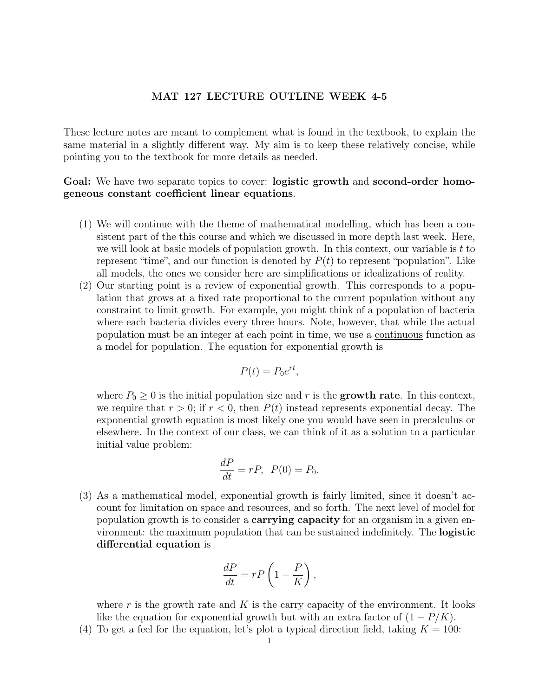## MAT 127 LECTURE OUTLINE WEEK 4-5

These lecture notes are meant to complement what is found in the textbook, to explain the same material in a slightly different way. My aim is to keep these relatively concise, while pointing you to the textbook for more details as needed.

## Goal: We have two separate topics to cover: **logistic growth** and **second-order homo**geneous constant coefficient linear equations.

- (1) We will continue with the theme of mathematical modelling, which has been a consistent part of the this course and which we discussed in more depth last week. Here, we will look at basic models of population growth. In this context, our variable is  $t$  to represent "time", and our function is denoted by  $P(t)$  to represent "population". Like all models, the ones we consider here are simplifications or idealizations of reality.
- (2) Our starting point is a review of exponential growth. This corresponds to a population that grows at a fixed rate proportional to the current population without any constraint to limit growth. For example, you might think of a population of bacteria where each bacteria divides every three hours. Note, however, that while the actual population must be an integer at each point in time, we use a continuous function as a model for population. The equation for exponential growth is

$$
P(t) = P_0 e^{rt},
$$

where  $P_0 \geq 0$  is the initial population size and r is the growth rate. In this context, we require that  $r > 0$ ; if  $r < 0$ , then  $P(t)$  instead represents exponential decay. The exponential growth equation is most likely one you would have seen in precalculus or elsewhere. In the context of our class, we can think of it as a solution to a particular initial value problem:

$$
\frac{dP}{dt} = rP, \ P(0) = P_0.
$$

(3) As a mathematical model, exponential growth is fairly limited, since it doesn't account for limitation on space and resources, and so forth. The next level of model for population growth is to consider a **carrying capacity** for an organism in a given environment: the maximum population that can be sustained indefinitely. The logistic differential equation is

$$
\frac{dP}{dt} = rP\left(1 - \frac{P}{K}\right),\,
$$

where r is the growth rate and  $K$  is the carry capacity of the environment. It looks like the equation for exponential growth but with an extra factor of  $(1 - P/K)$ .

(4) To get a feel for the equation, let's plot a typical direction field, taking  $K = 100$ :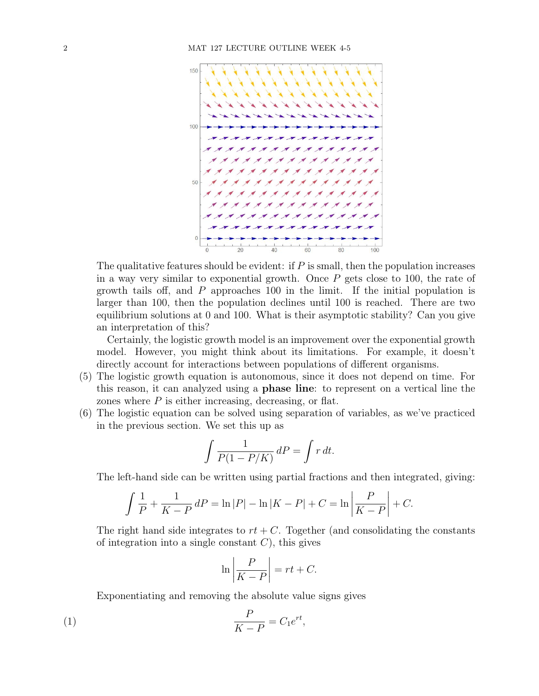

The qualitative features should be evident: if  $P$  is small, then the population increases in a way very similar to exponential growth. Once  $P$  gets close to 100, the rate of growth tails off, and P approaches 100 in the limit. If the initial population is larger than 100, then the population declines until 100 is reached. There are two equilibrium solutions at 0 and 100. What is their asymptotic stability? Can you give an interpretation of this?

Certainly, the logistic growth model is an improvement over the exponential growth model. However, you might think about its limitations. For example, it doesn't directly account for interactions between populations of different organisms.

- (5) The logistic growth equation is autonomous, since it does not depend on time. For this reason, it can analyzed using a phase line: to represent on a vertical line the zones where  $P$  is either increasing, decreasing, or flat.
- (6) The logistic equation can be solved using separation of variables, as we've practiced in the previous section. We set this up as

$$
\int \frac{1}{P(1 - P/K)} dP = \int r dt.
$$

The left-hand side can be written using partial fractions and then integrated, giving:

$$
\int \frac{1}{P} + \frac{1}{K - P} dP = \ln |P| - \ln |K - P| + C = \ln \left| \frac{P}{K - P} \right| + C.
$$

The right hand side integrates to  $rt + C$ . Together (and consolidating the constants of integration into a single constant  $C$ ), this gives

$$
\ln\left|\frac{P}{K-P}\right| = rt + C.
$$

Exponentiating and removing the absolute value signs gives

<span id="page-1-0"></span>
$$
\frac{P}{K - P} = C_1 e^{rt},
$$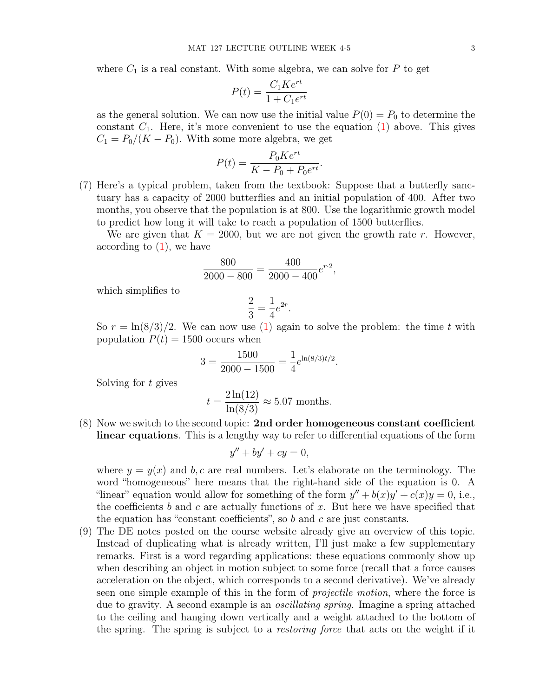where  $C_1$  is a real constant. With some algebra, we can solve for  $P$  to get

$$
P(t) = \frac{C_1 K e^{rt}}{1 + C_1 e^{rt}}
$$

as the general solution. We can now use the initial value  $P(0) = P_0$  to determine the constant  $C_1$ . Here, it's more convenient to use the equation  $(1)$  above. This gives  $C_1 = P_0/(K - P_0)$ . With some more algebra, we get

$$
P(t) = \frac{P_0 K e^{rt}}{K - P_0 + P_0 e^{rt}}.
$$

(7) Here's a typical problem, taken from the textbook: Suppose that a butterfly sanctuary has a capacity of 2000 butterflies and an initial population of 400. After two months, you observe that the population is at 800. Use the logarithmic growth model to predict how long it will take to reach a population of 1500 butterflies.

We are given that  $K = 2000$ , but we are not given the growth rate r. However, according to  $(1)$ , we have

$$
\frac{800}{2000 - 800} = \frac{400}{2000 - 400}e^{r \cdot 2},
$$

which simplifies to

$$
\frac{2}{3} = \frac{1}{4}e^{2r}.
$$

So  $r = \ln(8/3)/2$ . We can now use [\(1\)](#page-1-0) again to solve the problem: the time t with population  $P(t) = 1500$  occurs when

$$
3 = \frac{1500}{2000 - 1500} = \frac{1}{4}e^{\ln(8/3)t/2}.
$$

Solving for t gives

$$
t = \frac{2\ln(12)}{\ln(8/3)} \approx 5.07
$$
 months.

(8) Now we switch to the second topic: 2nd order homogeneous constant coefficient linear equations. This is a lengthy way to refer to differential equations of the form

$$
y'' + by' + cy = 0,
$$

where  $y = y(x)$  and b, c are real numbers. Let's elaborate on the terminology. The word "homogeneous" here means that the right-hand side of the equation is 0. A "linear" equation would allow for something of the form  $y'' + b(x)y' + c(x)y = 0$ , i.e., the coefficients b and c are actually functions of  $x$ . But here we have specified that the equation has "constant coefficients", so  $b$  and  $c$  are just constants.

(9) The DE notes posted on the course website already give an overview of this topic. Instead of duplicating what is already written, I'll just make a few supplementary remarks. First is a word regarding applications: these equations commonly show up when describing an object in motion subject to some force (recall that a force causes acceleration on the object, which corresponds to a second derivative). We've already seen one simple example of this in the form of projectile motion, where the force is due to gravity. A second example is an oscillating spring. Imagine a spring attached to the ceiling and hanging down vertically and a weight attached to the bottom of the spring. The spring is subject to a restoring force that acts on the weight if it